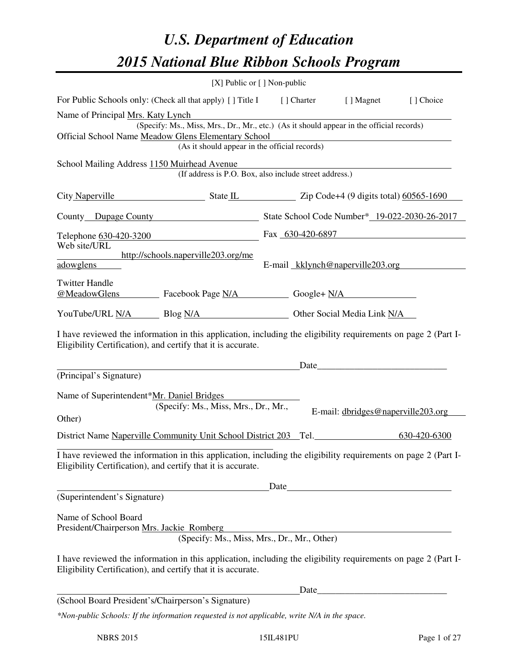# *U.S. Department of Education 2015 National Blue Ribbon Schools Program*

|                                                                                                                                                                                | [X] Public or [] Non-public          |                                                        |                                                           |              |  |  |
|--------------------------------------------------------------------------------------------------------------------------------------------------------------------------------|--------------------------------------|--------------------------------------------------------|-----------------------------------------------------------|--------------|--|--|
| For Public Schools only: (Check all that apply) [ ] Title I [ ] Charter [ ] Magnet                                                                                             |                                      |                                                        |                                                           | [] Choice    |  |  |
| Name of Principal Mrs. Katy Lynch                                                                                                                                              |                                      |                                                        |                                                           |              |  |  |
| (Specify: Ms., Miss, Mrs., Dr., Mr., etc.) (As it should appear in the official records)                                                                                       |                                      |                                                        |                                                           |              |  |  |
| Official School Name Meadow Glens Elementary School<br><u> 1989 - Johann Barbara, martxa alemaniar arg</u><br>(As it should appear in the official records)                    |                                      |                                                        |                                                           |              |  |  |
|                                                                                                                                                                                |                                      |                                                        |                                                           |              |  |  |
| School Mailing Address 1150 Muirhead Avenue                                                                                                                                    |                                      | (If address is P.O. Box, also include street address.) |                                                           |              |  |  |
| City Naperville State L State L Zip Code+4 (9 digits total) 60565-1690                                                                                                         |                                      |                                                        |                                                           |              |  |  |
| County Dupage County State School Code Number* 19-022-2030-26-2017                                                                                                             |                                      |                                                        |                                                           |              |  |  |
| Telephone 630-420-3200                                                                                                                                                         |                                      | Fax 630-420-6897                                       |                                                           |              |  |  |
| Web site/URL                                                                                                                                                                   |                                      |                                                        |                                                           |              |  |  |
| http://schools.naperville203.org/me<br>adowglens                                                                                                                               |                                      | E-mail kklynch@naperville203.org                       |                                                           |              |  |  |
|                                                                                                                                                                                |                                      |                                                        |                                                           |              |  |  |
| <b>Twitter Handle</b><br><u>@MeadowGlens</u> Facebook Page N/A Google+ N/A                                                                                                     |                                      |                                                        |                                                           |              |  |  |
|                                                                                                                                                                                |                                      |                                                        |                                                           |              |  |  |
| YouTube/URL N/A Blog N/A Discrete Discrete Other Social Media Link N/A                                                                                                         |                                      |                                                        |                                                           |              |  |  |
| I have reviewed the information in this application, including the eligibility requirements on page 2 (Part I-                                                                 |                                      |                                                        |                                                           |              |  |  |
| Eligibility Certification), and certify that it is accurate.                                                                                                                   |                                      |                                                        |                                                           |              |  |  |
|                                                                                                                                                                                |                                      |                                                        |                                                           |              |  |  |
| (Principal's Signature)                                                                                                                                                        |                                      |                                                        |                                                           |              |  |  |
|                                                                                                                                                                                |                                      |                                                        |                                                           |              |  |  |
| Name of Superintendent*Mr. Daniel Bridges                                                                                                                                      | (Specify: Ms., Miss, Mrs., Dr., Mr., |                                                        |                                                           |              |  |  |
| Other)                                                                                                                                                                         |                                      |                                                        | E-mail: dbridges@naperville203.org                        |              |  |  |
|                                                                                                                                                                                |                                      |                                                        |                                                           |              |  |  |
| District Name Naperville Community Unit School District 203 Tel.                                                                                                               |                                      |                                                        |                                                           | 630-420-6300 |  |  |
| I have reviewed the information in this application, including the eligibility requirements on page 2 (Part I-<br>Eligibility Certification), and certify that it is accurate. |                                      |                                                        |                                                           |              |  |  |
|                                                                                                                                                                                |                                      | Date                                                   |                                                           |              |  |  |
| (Superintendent's Signature)                                                                                                                                                   |                                      |                                                        |                                                           |              |  |  |
| Name of School Board                                                                                                                                                           |                                      |                                                        |                                                           |              |  |  |
| President/Chairperson Mrs. Jackie Romberg                                                                                                                                      |                                      |                                                        |                                                           |              |  |  |
|                                                                                                                                                                                |                                      | (Specify: Ms., Miss, Mrs., Dr., Mr., Other)            |                                                           |              |  |  |
| I have reviewed the information in this application, including the eligibility requirements on page 2 (Part I-<br>Eligibility Certification), and certify that it is accurate. |                                      |                                                        |                                                           |              |  |  |
|                                                                                                                                                                                |                                      | Date_                                                  | <u> 1989 - Johann Barbara, martxa amerikan personal (</u> |              |  |  |
| (School Board President's/Chairperson's Signature)                                                                                                                             |                                      |                                                        |                                                           |              |  |  |
| *Non-public Schools: If the information requested is not applicable, write N/A in the space.                                                                                   |                                      |                                                        |                                                           |              |  |  |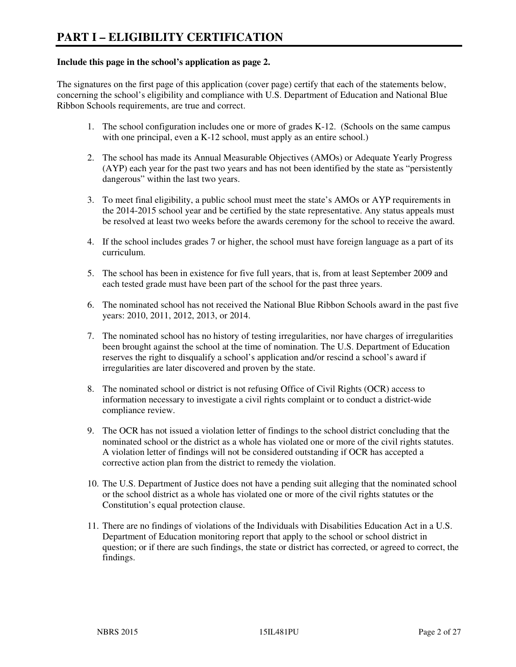#### **Include this page in the school's application as page 2.**

The signatures on the first page of this application (cover page) certify that each of the statements below, concerning the school's eligibility and compliance with U.S. Department of Education and National Blue Ribbon Schools requirements, are true and correct.

- 1. The school configuration includes one or more of grades K-12. (Schools on the same campus with one principal, even a K-12 school, must apply as an entire school.)
- 2. The school has made its Annual Measurable Objectives (AMOs) or Adequate Yearly Progress (AYP) each year for the past two years and has not been identified by the state as "persistently dangerous" within the last two years.
- 3. To meet final eligibility, a public school must meet the state's AMOs or AYP requirements in the 2014-2015 school year and be certified by the state representative. Any status appeals must be resolved at least two weeks before the awards ceremony for the school to receive the award.
- 4. If the school includes grades 7 or higher, the school must have foreign language as a part of its curriculum.
- 5. The school has been in existence for five full years, that is, from at least September 2009 and each tested grade must have been part of the school for the past three years.
- 6. The nominated school has not received the National Blue Ribbon Schools award in the past five years: 2010, 2011, 2012, 2013, or 2014.
- 7. The nominated school has no history of testing irregularities, nor have charges of irregularities been brought against the school at the time of nomination. The U.S. Department of Education reserves the right to disqualify a school's application and/or rescind a school's award if irregularities are later discovered and proven by the state.
- 8. The nominated school or district is not refusing Office of Civil Rights (OCR) access to information necessary to investigate a civil rights complaint or to conduct a district-wide compliance review.
- 9. The OCR has not issued a violation letter of findings to the school district concluding that the nominated school or the district as a whole has violated one or more of the civil rights statutes. A violation letter of findings will not be considered outstanding if OCR has accepted a corrective action plan from the district to remedy the violation.
- 10. The U.S. Department of Justice does not have a pending suit alleging that the nominated school or the school district as a whole has violated one or more of the civil rights statutes or the Constitution's equal protection clause.
- 11. There are no findings of violations of the Individuals with Disabilities Education Act in a U.S. Department of Education monitoring report that apply to the school or school district in question; or if there are such findings, the state or district has corrected, or agreed to correct, the findings.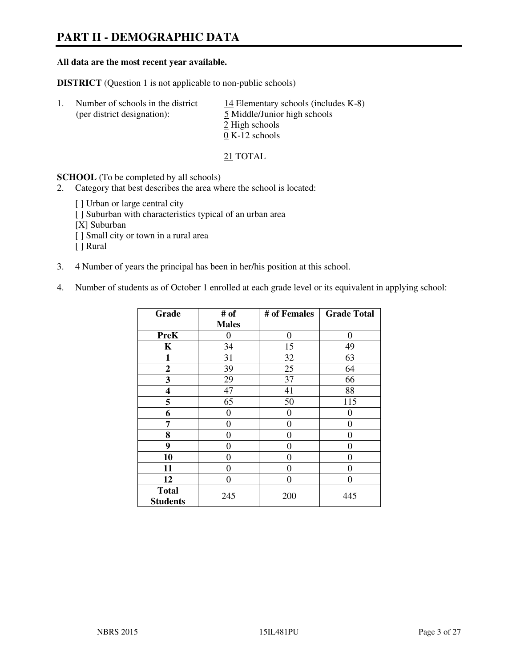# **PART II - DEMOGRAPHIC DATA**

#### **All data are the most recent year available.**

**DISTRICT** (Question 1 is not applicable to non-public schools)

| $\perp$ | Number of schools in the district<br>(per district designation): | 14 Elementary schools (includes $K-8$ )<br>5 Middle/Junior high schools |
|---------|------------------------------------------------------------------|-------------------------------------------------------------------------|
|         |                                                                  | 2 High schools                                                          |
|         |                                                                  | $0 K-12$ schools                                                        |

21 TOTAL

**SCHOOL** (To be completed by all schools)

- 2. Category that best describes the area where the school is located:
	- [ ] Urban or large central city
	- [ ] Suburban with characteristics typical of an urban area
	- [X] Suburban
	- [ ] Small city or town in a rural area
	- [ ] Rural
- 3. 4 Number of years the principal has been in her/his position at this school.
- 4. Number of students as of October 1 enrolled at each grade level or its equivalent in applying school:

| Grade                           | # of         | # of Females     | <b>Grade Total</b> |
|---------------------------------|--------------|------------------|--------------------|
|                                 | <b>Males</b> |                  |                    |
| <b>PreK</b>                     | 0            | $\boldsymbol{0}$ | 0                  |
| K                               | 34           | 15               | 49                 |
| 1                               | 31           | 32               | 63                 |
| $\boldsymbol{2}$                | 39           | 25               | 64                 |
| 3                               | 29           | 37               | 66                 |
| 4                               | 47           | 41               | 88                 |
| 5                               | 65           | 50               | 115                |
| 6                               | 0            | $\theta$         | 0                  |
| 7                               | 0            | 0                | 0                  |
| 8                               | 0            | 0                | 0                  |
| 9                               | 0            | 0                | 0                  |
| 10                              | 0            | 0                | 0                  |
| 11                              | 0            | 0                | 0                  |
| 12                              | 0            | 0                | 0                  |
| <b>Total</b><br><b>Students</b> | 245          | 200              | 445                |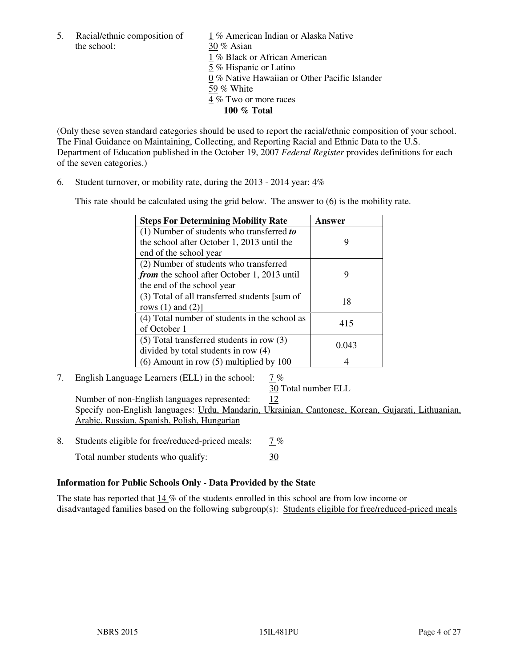the school: 30 % Asian

5. Racial/ethnic composition of 1 % American Indian or Alaska Native 1 % Black or African American 5 % Hispanic or Latino 0 % Native Hawaiian or Other Pacific Islander 59 % White 4 % Two or more races **100 % Total** 

(Only these seven standard categories should be used to report the racial/ethnic composition of your school. The Final Guidance on Maintaining, Collecting, and Reporting Racial and Ethnic Data to the U.S. Department of Education published in the October 19, 2007 *Federal Register* provides definitions for each of the seven categories.)

6. Student turnover, or mobility rate, during the 2013 - 2014 year: 4%

This rate should be calculated using the grid below. The answer to (6) is the mobility rate.

| <b>Steps For Determining Mobility Rate</b>         | Answer |
|----------------------------------------------------|--------|
| $(1)$ Number of students who transferred to        |        |
| the school after October 1, 2013 until the         | 9      |
| end of the school year                             |        |
| (2) Number of students who transferred             |        |
| <i>from</i> the school after October 1, 2013 until | 9      |
| the end of the school year                         |        |
| (3) Total of all transferred students [sum of      | 18     |
| rows $(1)$ and $(2)$ ]                             |        |
| (4) Total number of students in the school as      | 415    |
| of October 1                                       |        |
| $(5)$ Total transferred students in row $(3)$      |        |
| divided by total students in row (4)               | 0.043  |
| $(6)$ Amount in row $(5)$ multiplied by 100        |        |

7. English Language Learners (ELL) in the school: 7 %

30 Total number ELL

Number of non-English languages represented: 12 Specify non-English languages: Urdu, Mandarin, Ukrainian, Cantonese, Korean, Gujarati, Lithuanian, Arabic, Russian, Spanish, Polish, Hungarian

- 8. Students eligible for free/reduced-priced meals:  $7\%$ 
	- Total number students who qualify:  $30$

#### **Information for Public Schools Only - Data Provided by the State**

The state has reported that  $14\%$  of the students enrolled in this school are from low income or disadvantaged families based on the following subgroup(s): Students eligible for free/reduced-priced meals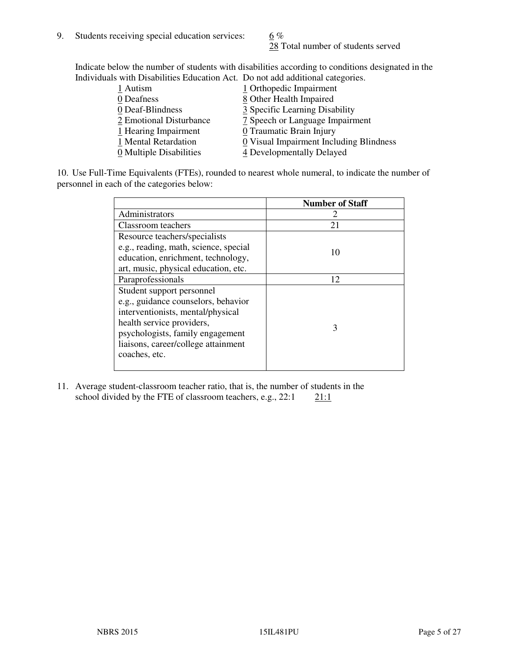28 Total number of students served

Indicate below the number of students with disabilities according to conditions designated in the Individuals with Disabilities Education Act. Do not add additional categories.

| 1 Autism                | 1 Orthopedic Impairment                 |
|-------------------------|-----------------------------------------|
| 0 Deafness              | 8 Other Health Impaired                 |
| 0 Deaf-Blindness        | 3 Specific Learning Disability          |
| 2 Emotional Disturbance | 7 Speech or Language Impairment         |
| 1 Hearing Impairment    | 0 Traumatic Brain Injury                |
| 1 Mental Retardation    | 0 Visual Impairment Including Blindness |
| 0 Multiple Disabilities | 4 Developmentally Delayed               |
|                         |                                         |

10. Use Full-Time Equivalents (FTEs), rounded to nearest whole numeral, to indicate the number of personnel in each of the categories below:

|                                       | <b>Number of Staff</b> |
|---------------------------------------|------------------------|
| Administrators                        |                        |
| Classroom teachers                    | 21                     |
| Resource teachers/specialists         |                        |
| e.g., reading, math, science, special | 10                     |
| education, enrichment, technology,    |                        |
| art, music, physical education, etc.  |                        |
| Paraprofessionals                     | 12                     |
| Student support personnel             |                        |
| e.g., guidance counselors, behavior   |                        |
| interventionists, mental/physical     |                        |
| health service providers,             | 3                      |
| psychologists, family engagement      |                        |
| liaisons, career/college attainment   |                        |
| coaches, etc.                         |                        |
|                                       |                        |

11. Average student-classroom teacher ratio, that is, the number of students in the school divided by the FTE of classroom teachers, e.g.,  $22:1$  21:1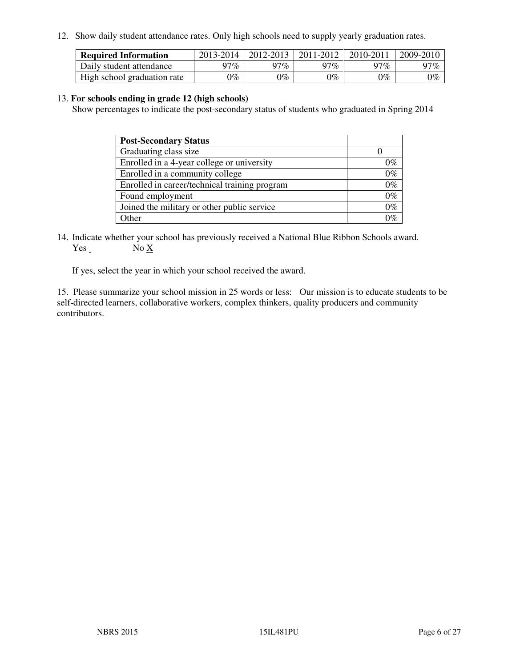12. Show daily student attendance rates. Only high schools need to supply yearly graduation rates.

| <b>Required Information</b> | 2013-2014     | 2012-2013       | 2011-2012 | 2010-2011 | 2009-2010 |
|-----------------------------|---------------|-----------------|-----------|-----------|-----------|
| Daily student attendance    | $17\%$        | 97%             | $77\%$    | $17\%$    | 97%       |
| High school graduation rate | $\gamma_{\%}$ | $\mathcal{V}_o$ | $0\%$     | 0%        | 0%        |

#### 13. **For schools ending in grade 12 (high schools)**

Show percentages to indicate the post-secondary status of students who graduated in Spring 2014

| <b>Post-Secondary Status</b>                  |       |
|-----------------------------------------------|-------|
| Graduating class size                         |       |
| Enrolled in a 4-year college or university    | 0%    |
| Enrolled in a community college               | $0\%$ |
| Enrolled in career/technical training program | $0\%$ |
| Found employment                              | $0\%$ |
| Joined the military or other public service   | $0\%$ |
| Other                                         |       |

14. Indicate whether your school has previously received a National Blue Ribbon Schools award. Yes No X

If yes, select the year in which your school received the award.

15. Please summarize your school mission in 25 words or less: Our mission is to educate students to be self-directed learners, collaborative workers, complex thinkers, quality producers and community contributors.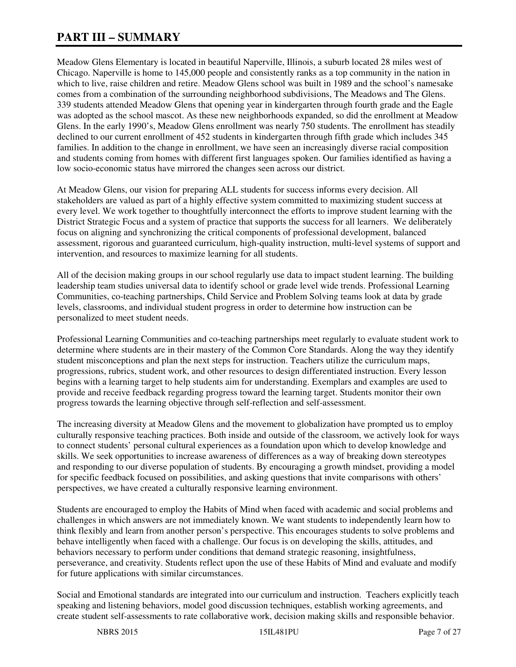# **PART III – SUMMARY**

Meadow Glens Elementary is located in beautiful Naperville, Illinois, a suburb located 28 miles west of Chicago. Naperville is home to 145,000 people and consistently ranks as a top community in the nation in which to live, raise children and retire. Meadow Glens school was built in 1989 and the school's namesake comes from a combination of the surrounding neighborhood subdivisions, The Meadows and The Glens. 339 students attended Meadow Glens that opening year in kindergarten through fourth grade and the Eagle was adopted as the school mascot. As these new neighborhoods expanded, so did the enrollment at Meadow Glens. In the early 1990's, Meadow Glens enrollment was nearly 750 students. The enrollment has steadily declined to our current enrollment of 452 students in kindergarten through fifth grade which includes 345 families. In addition to the change in enrollment, we have seen an increasingly diverse racial composition and students coming from homes with different first languages spoken. Our families identified as having a low socio-economic status have mirrored the changes seen across our district.

At Meadow Glens, our vision for preparing ALL students for success informs every decision. All stakeholders are valued as part of a highly effective system committed to maximizing student success at every level. We work together to thoughtfully interconnect the efforts to improve student learning with the District Strategic Focus and a system of practice that supports the success for all learners. We deliberately focus on aligning and synchronizing the critical components of professional development, balanced assessment, rigorous and guaranteed curriculum, high-quality instruction, multi-level systems of support and intervention, and resources to maximize learning for all students.

All of the decision making groups in our school regularly use data to impact student learning. The building leadership team studies universal data to identify school or grade level wide trends. Professional Learning Communities, co-teaching partnerships, Child Service and Problem Solving teams look at data by grade levels, classrooms, and individual student progress in order to determine how instruction can be personalized to meet student needs.

Professional Learning Communities and co-teaching partnerships meet regularly to evaluate student work to determine where students are in their mastery of the Common Core Standards. Along the way they identify student misconceptions and plan the next steps for instruction. Teachers utilize the curriculum maps, progressions, rubrics, student work, and other resources to design differentiated instruction. Every lesson begins with a learning target to help students aim for understanding. Exemplars and examples are used to provide and receive feedback regarding progress toward the learning target. Students monitor their own progress towards the learning objective through self-reflection and self-assessment.

The increasing diversity at Meadow Glens and the movement to globalization have prompted us to employ culturally responsive teaching practices. Both inside and outside of the classroom, we actively look for ways to connect students' personal cultural experiences as a foundation upon which to develop knowledge and skills. We seek opportunities to increase awareness of differences as a way of breaking down stereotypes and responding to our diverse population of students. By encouraging a growth mindset, providing a model for specific feedback focused on possibilities, and asking questions that invite comparisons with others' perspectives, we have created a culturally responsive learning environment.

Students are encouraged to employ the Habits of Mind when faced with academic and social problems and challenges in which answers are not immediately known. We want students to independently learn how to think flexibly and learn from another person's perspective. This encourages students to solve problems and behave intelligently when faced with a challenge. Our focus is on developing the skills, attitudes, and behaviors necessary to perform under conditions that demand strategic reasoning, insightfulness, perseverance, and creativity. Students reflect upon the use of these Habits of Mind and evaluate and modify for future applications with similar circumstances.

Social and Emotional standards are integrated into our curriculum and instruction. Teachers explicitly teach speaking and listening behaviors, model good discussion techniques, establish working agreements, and create student self-assessments to rate collaborative work, decision making skills and responsible behavior.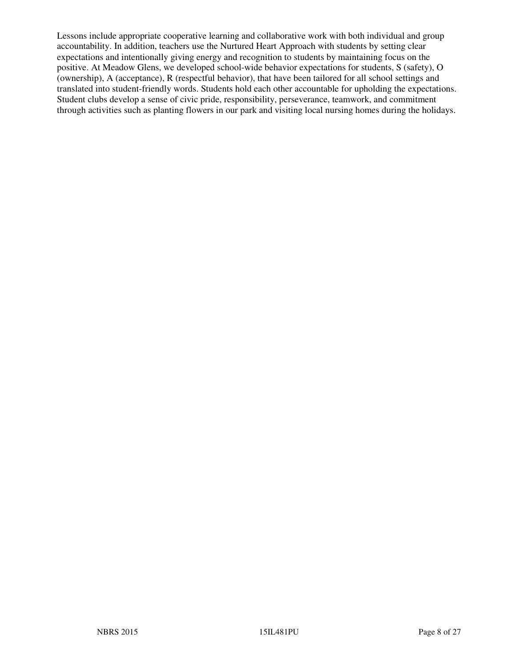Lessons include appropriate cooperative learning and collaborative work with both individual and group accountability. In addition, teachers use the Nurtured Heart Approach with students by setting clear expectations and intentionally giving energy and recognition to students by maintaining focus on the positive. At Meadow Glens, we developed school-wide behavior expectations for students, S (safety), O (ownership), A (acceptance), R (respectful behavior), that have been tailored for all school settings and translated into student-friendly words. Students hold each other accountable for upholding the expectations. Student clubs develop a sense of civic pride, responsibility, perseverance, teamwork, and commitment through activities such as planting flowers in our park and visiting local nursing homes during the holidays.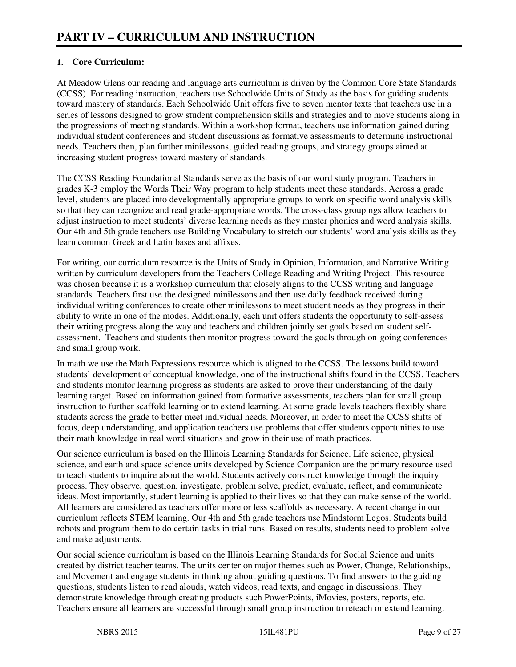#### **1. Core Curriculum:**

At Meadow Glens our reading and language arts curriculum is driven by the Common Core State Standards (CCSS). For reading instruction, teachers use Schoolwide Units of Study as the basis for guiding students toward mastery of standards. Each Schoolwide Unit offers five to seven mentor texts that teachers use in a series of lessons designed to grow student comprehension skills and strategies and to move students along in the progressions of meeting standards. Within a workshop format, teachers use information gained during individual student conferences and student discussions as formative assessments to determine instructional needs. Teachers then, plan further minilessons, guided reading groups, and strategy groups aimed at increasing student progress toward mastery of standards.

The CCSS Reading Foundational Standards serve as the basis of our word study program. Teachers in grades K-3 employ the Words Their Way program to help students meet these standards. Across a grade level, students are placed into developmentally appropriate groups to work on specific word analysis skills so that they can recognize and read grade-appropriate words. The cross-class groupings allow teachers to adjust instruction to meet students' diverse learning needs as they master phonics and word analysis skills. Our 4th and 5th grade teachers use Building Vocabulary to stretch our students' word analysis skills as they learn common Greek and Latin bases and affixes.

For writing, our curriculum resource is the Units of Study in Opinion, Information, and Narrative Writing written by curriculum developers from the Teachers College Reading and Writing Project. This resource was chosen because it is a workshop curriculum that closely aligns to the CCSS writing and language standards. Teachers first use the designed minilessons and then use daily feedback received during individual writing conferences to create other minilessons to meet student needs as they progress in their ability to write in one of the modes. Additionally, each unit offers students the opportunity to self-assess their writing progress along the way and teachers and children jointly set goals based on student selfassessment. Teachers and students then monitor progress toward the goals through on-going conferences and small group work.

In math we use the Math Expressions resource which is aligned to the CCSS. The lessons build toward students' development of conceptual knowledge, one of the instructional shifts found in the CCSS. Teachers and students monitor learning progress as students are asked to prove their understanding of the daily learning target. Based on information gained from formative assessments, teachers plan for small group instruction to further scaffold learning or to extend learning. At some grade levels teachers flexibly share students across the grade to better meet individual needs. Moreover, in order to meet the CCSS shifts of focus, deep understanding, and application teachers use problems that offer students opportunities to use their math knowledge in real word situations and grow in their use of math practices.

Our science curriculum is based on the Illinois Learning Standards for Science. Life science, physical science, and earth and space science units developed by Science Companion are the primary resource used to teach students to inquire about the world. Students actively construct knowledge through the inquiry process. They observe, question, investigate, problem solve, predict, evaluate, reflect, and communicate ideas. Most importantly, student learning is applied to their lives so that they can make sense of the world. All learners are considered as teachers offer more or less scaffolds as necessary. A recent change in our curriculum reflects STEM learning. Our 4th and 5th grade teachers use Mindstorm Legos. Students build robots and program them to do certain tasks in trial runs. Based on results, students need to problem solve and make adjustments.

Our social science curriculum is based on the Illinois Learning Standards for Social Science and units created by district teacher teams. The units center on major themes such as Power, Change, Relationships, and Movement and engage students in thinking about guiding questions. To find answers to the guiding questions, students listen to read alouds, watch videos, read texts, and engage in discussions. They demonstrate knowledge through creating products such PowerPoints, iMovies, posters, reports, etc. Teachers ensure all learners are successful through small group instruction to reteach or extend learning.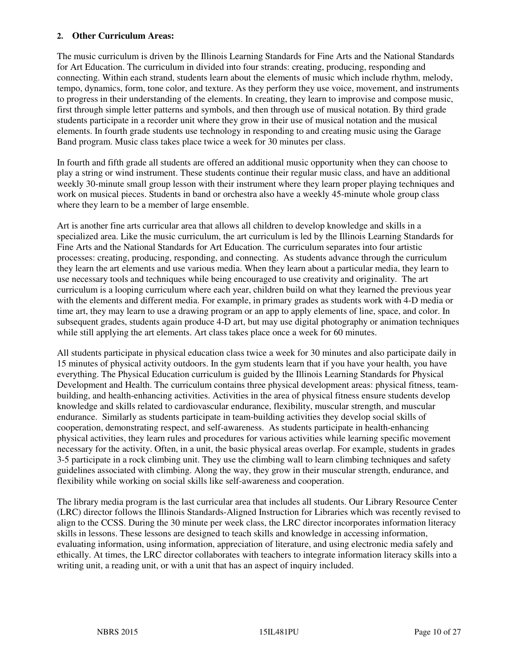#### **2. Other Curriculum Areas:**

The music curriculum is driven by the Illinois Learning Standards for Fine Arts and the National Standards for Art Education. The curriculum in divided into four strands: creating, producing, responding and connecting. Within each strand, students learn about the elements of music which include rhythm, melody, tempo, dynamics, form, tone color, and texture. As they perform they use voice, movement, and instruments to progress in their understanding of the elements. In creating, they learn to improvise and compose music, first through simple letter patterns and symbols, and then through use of musical notation. By third grade students participate in a recorder unit where they grow in their use of musical notation and the musical elements. In fourth grade students use technology in responding to and creating music using the Garage Band program. Music class takes place twice a week for 30 minutes per class.

In fourth and fifth grade all students are offered an additional music opportunity when they can choose to play a string or wind instrument. These students continue their regular music class, and have an additional weekly 30-minute small group lesson with their instrument where they learn proper playing techniques and work on musical pieces. Students in band or orchestra also have a weekly 45-minute whole group class where they learn to be a member of large ensemble.

Art is another fine arts curricular area that allows all children to develop knowledge and skills in a specialized area. Like the music curriculum, the art curriculum is led by the Illinois Learning Standards for Fine Arts and the National Standards for Art Education. The curriculum separates into four artistic processes: creating, producing, responding, and connecting. As students advance through the curriculum they learn the art elements and use various media. When they learn about a particular media, they learn to use necessary tools and techniques while being encouraged to use creativity and originality. The art curriculum is a looping curriculum where each year, children build on what they learned the previous year with the elements and different media. For example, in primary grades as students work with 4-D media or time art, they may learn to use a drawing program or an app to apply elements of line, space, and color. In subsequent grades, students again produce 4-D art, but may use digital photography or animation techniques while still applying the art elements. Art class takes place once a week for 60 minutes.

All students participate in physical education class twice a week for 30 minutes and also participate daily in 15 minutes of physical activity outdoors. In the gym students learn that if you have your health, you have everything. The Physical Education curriculum is guided by the Illinois Learning Standards for Physical Development and Health. The curriculum contains three physical development areas: physical fitness, teambuilding, and health-enhancing activities. Activities in the area of physical fitness ensure students develop knowledge and skills related to cardiovascular endurance, flexibility, muscular strength, and muscular endurance. Similarly as students participate in team-building activities they develop social skills of cooperation, demonstrating respect, and self-awareness. As students participate in health-enhancing physical activities, they learn rules and procedures for various activities while learning specific movement necessary for the activity. Often, in a unit, the basic physical areas overlap. For example, students in grades 3-5 participate in a rock climbing unit. They use the climbing wall to learn climbing techniques and safety guidelines associated with climbing. Along the way, they grow in their muscular strength, endurance, and flexibility while working on social skills like self-awareness and cooperation.

The library media program is the last curricular area that includes all students. Our Library Resource Center (LRC) director follows the Illinois Standards-Aligned Instruction for Libraries which was recently revised to align to the CCSS. During the 30 minute per week class, the LRC director incorporates information literacy skills in lessons. These lessons are designed to teach skills and knowledge in accessing information, evaluating information, using information, appreciation of literature, and using electronic media safely and ethically. At times, the LRC director collaborates with teachers to integrate information literacy skills into a writing unit, a reading unit, or with a unit that has an aspect of inquiry included.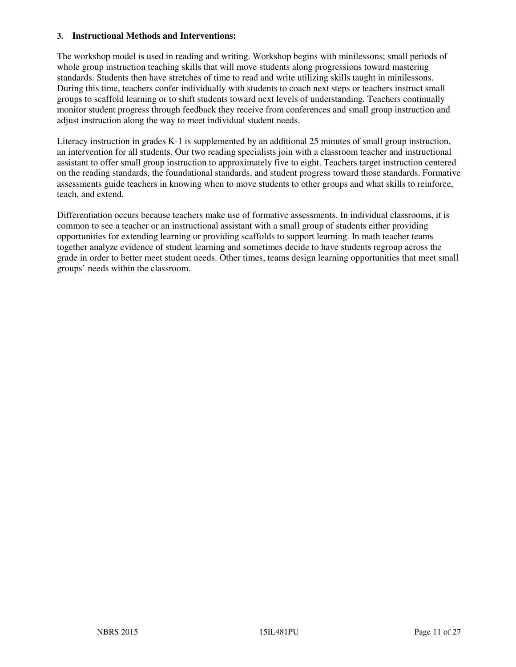#### **3. Instructional Methods and Interventions:**

The workshop model is used in reading and writing. Workshop begins with minilessons; small periods of whole group instruction teaching skills that will move students along progressions toward mastering standards. Students then have stretches of time to read and write utilizing skills taught in minilessons. During this time, teachers confer individually with students to coach next steps or teachers instruct small groups to scaffold learning or to shift students toward next levels of understanding. Teachers continually monitor student progress through feedback they receive from conferences and small group instruction and adjust instruction along the way to meet individual student needs.

Literacy instruction in grades K-1 is supplemented by an additional 25 minutes of small group instruction, an intervention for all students. Our two reading specialists join with a classroom teacher and instructional assistant to offer small group instruction to approximately five to eight. Teachers target instruction centered on the reading standards, the foundational standards, and student progress toward those standards. Formative assessments guide teachers in knowing when to move students to other groups and what skills to reinforce, teach, and extend.

Differentiation occurs because teachers make use of formative assessments. In individual classrooms, it is common to see a teacher or an instructional assistant with a small group of students either providing opportunities for extending learning or providing scaffolds to support learning. In math teacher teams together analyze evidence of student learning and sometimes decide to have students regroup across the grade in order to better meet student needs. Other times, teams design learning opportunities that meet small groups' needs within the classroom.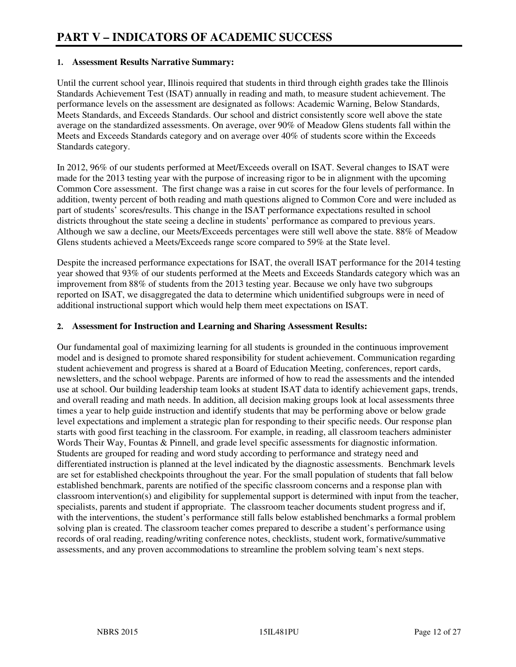#### **1. Assessment Results Narrative Summary:**

Until the current school year, Illinois required that students in third through eighth grades take the Illinois Standards Achievement Test (ISAT) annually in reading and math, to measure student achievement. The performance levels on the assessment are designated as follows: Academic Warning, Below Standards, Meets Standards, and Exceeds Standards. Our school and district consistently score well above the state average on the standardized assessments. On average, over 90% of Meadow Glens students fall within the Meets and Exceeds Standards category and on average over 40% of students score within the Exceeds Standards category.

In 2012, 96% of our students performed at Meet/Exceeds overall on ISAT. Several changes to ISAT were made for the 2013 testing year with the purpose of increasing rigor to be in alignment with the upcoming Common Core assessment. The first change was a raise in cut scores for the four levels of performance. In addition, twenty percent of both reading and math questions aligned to Common Core and were included as part of students' scores/results. This change in the ISAT performance expectations resulted in school districts throughout the state seeing a decline in students' performance as compared to previous years. Although we saw a decline, our Meets/Exceeds percentages were still well above the state. 88% of Meadow Glens students achieved a Meets/Exceeds range score compared to 59% at the State level.

Despite the increased performance expectations for ISAT, the overall ISAT performance for the 2014 testing year showed that 93% of our students performed at the Meets and Exceeds Standards category which was an improvement from 88% of students from the 2013 testing year. Because we only have two subgroups reported on ISAT, we disaggregated the data to determine which unidentified subgroups were in need of additional instructional support which would help them meet expectations on ISAT.

#### **2. Assessment for Instruction and Learning and Sharing Assessment Results:**

Our fundamental goal of maximizing learning for all students is grounded in the continuous improvement model and is designed to promote shared responsibility for student achievement. Communication regarding student achievement and progress is shared at a Board of Education Meeting, conferences, report cards, newsletters, and the school webpage. Parents are informed of how to read the assessments and the intended use at school. Our building leadership team looks at student ISAT data to identify achievement gaps, trends, and overall reading and math needs. In addition, all decision making groups look at local assessments three times a year to help guide instruction and identify students that may be performing above or below grade level expectations and implement a strategic plan for responding to their specific needs. Our response plan starts with good first teaching in the classroom. For example, in reading, all classroom teachers administer Words Their Way, Fountas & Pinnell, and grade level specific assessments for diagnostic information. Students are grouped for reading and word study according to performance and strategy need and differentiated instruction is planned at the level indicated by the diagnostic assessments. Benchmark levels are set for established checkpoints throughout the year. For the small population of students that fall below established benchmark, parents are notified of the specific classroom concerns and a response plan with classroom intervention(s) and eligibility for supplemental support is determined with input from the teacher, specialists, parents and student if appropriate. The classroom teacher documents student progress and if, with the interventions, the student's performance still falls below established benchmarks a formal problem solving plan is created. The classroom teacher comes prepared to describe a student's performance using records of oral reading, reading/writing conference notes, checklists, student work, formative/summative assessments, and any proven accommodations to streamline the problem solving team's next steps.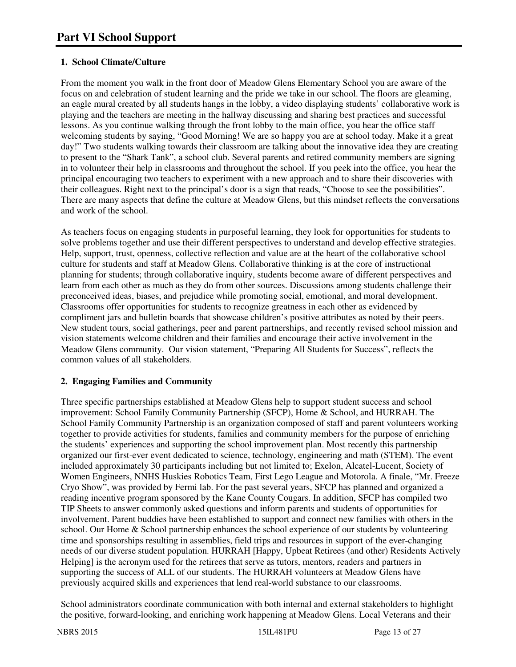### **1. School Climate/Culture**

From the moment you walk in the front door of Meadow Glens Elementary School you are aware of the focus on and celebration of student learning and the pride we take in our school. The floors are gleaming, an eagle mural created by all students hangs in the lobby, a video displaying students' collaborative work is playing and the teachers are meeting in the hallway discussing and sharing best practices and successful lessons. As you continue walking through the front lobby to the main office, you hear the office staff welcoming students by saying, "Good Morning! We are so happy you are at school today. Make it a great day!" Two students walking towards their classroom are talking about the innovative idea they are creating to present to the "Shark Tank", a school club. Several parents and retired community members are signing in to volunteer their help in classrooms and throughout the school. If you peek into the office, you hear the principal encouraging two teachers to experiment with a new approach and to share their discoveries with their colleagues. Right next to the principal's door is a sign that reads, "Choose to see the possibilities". There are many aspects that define the culture at Meadow Glens, but this mindset reflects the conversations and work of the school.

As teachers focus on engaging students in purposeful learning, they look for opportunities for students to solve problems together and use their different perspectives to understand and develop effective strategies. Help, support, trust, openness, collective reflection and value are at the heart of the collaborative school culture for students and staff at Meadow Glens. Collaborative thinking is at the core of instructional planning for students; through collaborative inquiry, students become aware of different perspectives and learn from each other as much as they do from other sources. Discussions among students challenge their preconceived ideas, biases, and prejudice while promoting social, emotional, and moral development. Classrooms offer opportunities for students to recognize greatness in each other as evidenced by compliment jars and bulletin boards that showcase children's positive attributes as noted by their peers. New student tours, social gatherings, peer and parent partnerships, and recently revised school mission and vision statements welcome children and their families and encourage their active involvement in the Meadow Glens community. Our vision statement, "Preparing All Students for Success", reflects the common values of all stakeholders.

#### **2. Engaging Families and Community**

Three specific partnerships established at Meadow Glens help to support student success and school improvement: School Family Community Partnership (SFCP), Home & School, and HURRAH. The School Family Community Partnership is an organization composed of staff and parent volunteers working together to provide activities for students, families and community members for the purpose of enriching the students' experiences and supporting the school improvement plan. Most recently this partnership organized our first-ever event dedicated to science, technology, engineering and math (STEM). The event included approximately 30 participants including but not limited to; Exelon, Alcatel-Lucent, Society of Women Engineers, NNHS Huskies Robotics Team, First Lego League and Motorola. A finale, "Mr. Freeze Cryo Show", was provided by Fermi lab. For the past several years, SFCP has planned and organized a reading incentive program sponsored by the Kane County Cougars. In addition, SFCP has compiled two TIP Sheets to answer commonly asked questions and inform parents and students of opportunities for involvement. Parent buddies have been established to support and connect new families with others in the school. Our Home & School partnership enhances the school experience of our students by volunteering time and sponsorships resulting in assemblies, field trips and resources in support of the ever-changing needs of our diverse student population. HURRAH [Happy, Upbeat Retirees (and other) Residents Actively Helping] is the acronym used for the retirees that serve as tutors, mentors, readers and partners in supporting the success of ALL of our students. The HURRAH volunteers at Meadow Glens have previously acquired skills and experiences that lend real-world substance to our classrooms.

School administrators coordinate communication with both internal and external stakeholders to highlight the positive, forward-looking, and enriching work happening at Meadow Glens. Local Veterans and their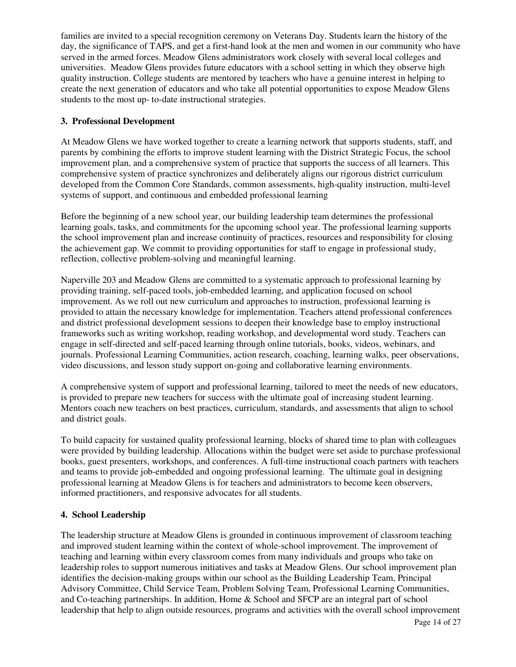families are invited to a special recognition ceremony on Veterans Day. Students learn the history of the day, the significance of TAPS, and get a first-hand look at the men and women in our community who have served in the armed forces. Meadow Glens administrators work closely with several local colleges and universities. Meadow Glens provides future educators with a school setting in which they observe high quality instruction. College students are mentored by teachers who have a genuine interest in helping to create the next generation of educators and who take all potential opportunities to expose Meadow Glens students to the most up- to-date instructional strategies.

#### **3. Professional Development**

At Meadow Glens we have worked together to create a learning network that supports students, staff, and parents by combining the efforts to improve student learning with the District Strategic Focus, the school improvement plan, and a comprehensive system of practice that supports the success of all learners. This comprehensive system of practice synchronizes and deliberately aligns our rigorous district curriculum developed from the Common Core Standards, common assessments, high-quality instruction, multi-level systems of support, and continuous and embedded professional learning

Before the beginning of a new school year, our building leadership team determines the professional learning goals, tasks, and commitments for the upcoming school year. The professional learning supports the school improvement plan and increase continuity of practices, resources and responsibility for closing the achievement gap. We commit to providing opportunities for staff to engage in professional study, reflection, collective problem-solving and meaningful learning.

Naperville 203 and Meadow Glens are committed to a systematic approach to professional learning by providing training, self-paced tools, job-embedded learning, and application focused on school improvement. As we roll out new curriculum and approaches to instruction, professional learning is provided to attain the necessary knowledge for implementation. Teachers attend professional conferences and district professional development sessions to deepen their knowledge base to employ instructional frameworks such as writing workshop, reading workshop, and developmental word study. Teachers can engage in self-directed and self-paced learning through online tutorials, books, videos, webinars, and journals. Professional Learning Communities, action research, coaching, learning walks, peer observations, video discussions, and lesson study support on-going and collaborative learning environments.

A comprehensive system of support and professional learning, tailored to meet the needs of new educators, is provided to prepare new teachers for success with the ultimate goal of increasing student learning. Mentors coach new teachers on best practices, curriculum, standards, and assessments that align to school and district goals.

To build capacity for sustained quality professional learning, blocks of shared time to plan with colleagues were provided by building leadership. Allocations within the budget were set aside to purchase professional books, guest presenters, workshops, and conferences. A full-time instructional coach partners with teachers and teams to provide job-embedded and ongoing professional learning. The ultimate goal in designing professional learning at Meadow Glens is for teachers and administrators to become keen observers, informed practitioners, and responsive advocates for all students.

#### **4. School Leadership**

The leadership structure at Meadow Glens is grounded in continuous improvement of classroom teaching and improved student learning within the context of whole-school improvement. The improvement of teaching and learning within every classroom comes from many individuals and groups who take on leadership roles to support numerous initiatives and tasks at Meadow Glens. Our school improvement plan identifies the decision-making groups within our school as the Building Leadership Team, Principal Advisory Committee, Child Service Team, Problem Solving Team, Professional Learning Communities, and Co-teaching partnerships. In addition, Home & School and SFCP are an integral part of school leadership that help to align outside resources, programs and activities with the overall school improvement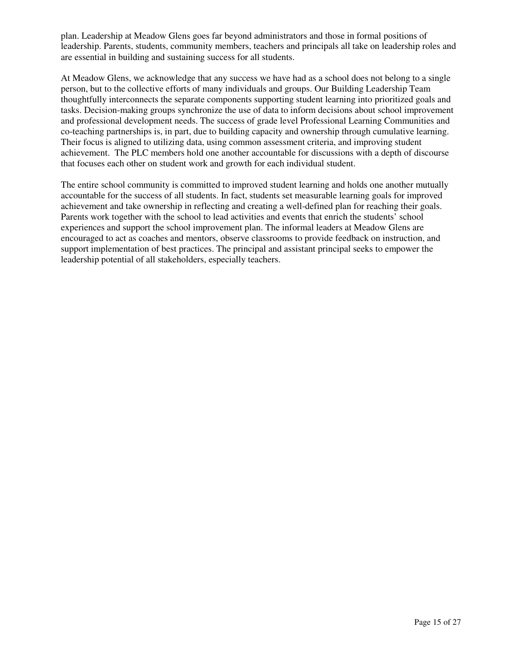plan. Leadership at Meadow Glens goes far beyond administrators and those in formal positions of leadership. Parents, students, community members, teachers and principals all take on leadership roles and are essential in building and sustaining success for all students.

At Meadow Glens, we acknowledge that any success we have had as a school does not belong to a single person, but to the collective efforts of many individuals and groups. Our Building Leadership Team thoughtfully interconnects the separate components supporting student learning into prioritized goals and tasks. Decision-making groups synchronize the use of data to inform decisions about school improvement and professional development needs. The success of grade level Professional Learning Communities and co-teaching partnerships is, in part, due to building capacity and ownership through cumulative learning. Their focus is aligned to utilizing data, using common assessment criteria, and improving student achievement. The PLC members hold one another accountable for discussions with a depth of discourse that focuses each other on student work and growth for each individual student.

The entire school community is committed to improved student learning and holds one another mutually accountable for the success of all students. In fact, students set measurable learning goals for improved achievement and take ownership in reflecting and creating a well-defined plan for reaching their goals. Parents work together with the school to lead activities and events that enrich the students' school experiences and support the school improvement plan. The informal leaders at Meadow Glens are encouraged to act as coaches and mentors, observe classrooms to provide feedback on instruction, and support implementation of best practices. The principal and assistant principal seeks to empower the leadership potential of all stakeholders, especially teachers.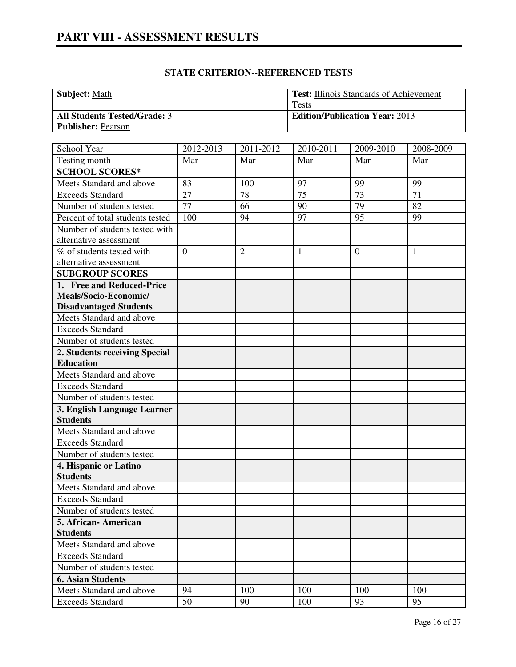| <b>Subject:</b> Math                | <b>Test:</b> Illinois Standards of Achievement |
|-------------------------------------|------------------------------------------------|
|                                     | Tests                                          |
| <b>All Students Tested/Grade: 3</b> | <b>Edition/Publication Year: 2013</b>          |
| <b>Publisher: Pearson</b>           |                                                |

| School Year                      | 2012-2013      |                | 2010-2011    | 2009-2010      |              |
|----------------------------------|----------------|----------------|--------------|----------------|--------------|
|                                  |                | 2011-2012      |              |                | 2008-2009    |
| Testing month                    | Mar            | Mar            | Mar          | Mar            | Mar          |
| <b>SCHOOL SCORES*</b>            |                |                |              |                |              |
| Meets Standard and above         | 83             | 100            | 97           | 99             | 99           |
| <b>Exceeds Standard</b>          | 27             | 78             | 75           | 73             | 71           |
| Number of students tested        | 77             | 66             | 90           | 79             | 82           |
| Percent of total students tested | 100            | 94             | 97           | 95             | 99           |
| Number of students tested with   |                |                |              |                |              |
| alternative assessment           |                |                |              |                |              |
| % of students tested with        | $\overline{0}$ | $\overline{2}$ | $\mathbf{1}$ | $\overline{0}$ | $\mathbf{1}$ |
| alternative assessment           |                |                |              |                |              |
| <b>SUBGROUP SCORES</b>           |                |                |              |                |              |
| 1. Free and Reduced-Price        |                |                |              |                |              |
| Meals/Socio-Economic/            |                |                |              |                |              |
| <b>Disadvantaged Students</b>    |                |                |              |                |              |
| Meets Standard and above         |                |                |              |                |              |
| <b>Exceeds Standard</b>          |                |                |              |                |              |
| Number of students tested        |                |                |              |                |              |
| 2. Students receiving Special    |                |                |              |                |              |
| <b>Education</b>                 |                |                |              |                |              |
| Meets Standard and above         |                |                |              |                |              |
| <b>Exceeds Standard</b>          |                |                |              |                |              |
| Number of students tested        |                |                |              |                |              |
| 3. English Language Learner      |                |                |              |                |              |
| <b>Students</b>                  |                |                |              |                |              |
| Meets Standard and above         |                |                |              |                |              |
| <b>Exceeds Standard</b>          |                |                |              |                |              |
| Number of students tested        |                |                |              |                |              |
| 4. Hispanic or Latino            |                |                |              |                |              |
| <b>Students</b>                  |                |                |              |                |              |
| Meets Standard and above         |                |                |              |                |              |
| <b>Exceeds Standard</b>          |                |                |              |                |              |
| Number of students tested        |                |                |              |                |              |
| 5. African- American             |                |                |              |                |              |
| <b>Students</b>                  |                |                |              |                |              |
| Meets Standard and above         |                |                |              |                |              |
| <b>Exceeds Standard</b>          |                |                |              |                |              |
| Number of students tested        |                |                |              |                |              |
| <b>6. Asian Students</b>         |                |                |              |                |              |
| Meets Standard and above         | 94             | 100            | 100          | 100            | 100          |
| <b>Exceeds Standard</b>          | 50             | 90             | 100          | 93             | 95           |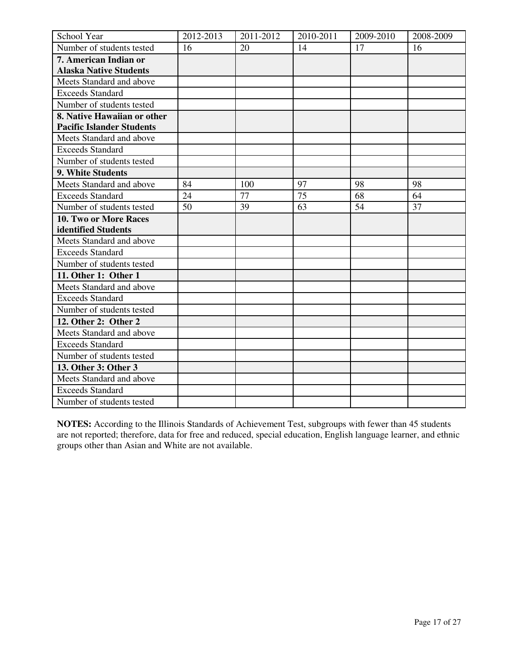| School Year                      | 2012-2013 | 2011-2012 | 2010-2011 | 2009-2010 | 2008-2009 |
|----------------------------------|-----------|-----------|-----------|-----------|-----------|
| Number of students tested        | 16        | 20        | 14        | 17        | 16        |
| 7. American Indian or            |           |           |           |           |           |
| <b>Alaska Native Students</b>    |           |           |           |           |           |
| Meets Standard and above         |           |           |           |           |           |
| <b>Exceeds Standard</b>          |           |           |           |           |           |
| Number of students tested        |           |           |           |           |           |
| 8. Native Hawaiian or other      |           |           |           |           |           |
| <b>Pacific Islander Students</b> |           |           |           |           |           |
| Meets Standard and above         |           |           |           |           |           |
| <b>Exceeds Standard</b>          |           |           |           |           |           |
| Number of students tested        |           |           |           |           |           |
| 9. White Students                |           |           |           |           |           |
| Meets Standard and above         | 84        | 100       | 97        | 98        | 98        |
| <b>Exceeds Standard</b>          | 24        | 77        | 75        | 68        | 64        |
| Number of students tested        | 50        | 39        | 63        | 54        | 37        |
| 10. Two or More Races            |           |           |           |           |           |
| identified Students              |           |           |           |           |           |
| Meets Standard and above         |           |           |           |           |           |
| <b>Exceeds Standard</b>          |           |           |           |           |           |
| Number of students tested        |           |           |           |           |           |
| 11. Other 1: Other 1             |           |           |           |           |           |
| Meets Standard and above         |           |           |           |           |           |
| <b>Exceeds Standard</b>          |           |           |           |           |           |
| Number of students tested        |           |           |           |           |           |
| 12. Other 2: Other 2             |           |           |           |           |           |
| Meets Standard and above         |           |           |           |           |           |
| <b>Exceeds Standard</b>          |           |           |           |           |           |
| Number of students tested        |           |           |           |           |           |
| 13. Other 3: Other 3             |           |           |           |           |           |
| Meets Standard and above         |           |           |           |           |           |
| <b>Exceeds Standard</b>          |           |           |           |           |           |
| Number of students tested        |           |           |           |           |           |

**NOTES:** According to the Illinois Standards of Achievement Test, subgroups with fewer than 45 students are not reported; therefore, data for free and reduced, special education, English language learner, and ethnic groups other than Asian and White are not available.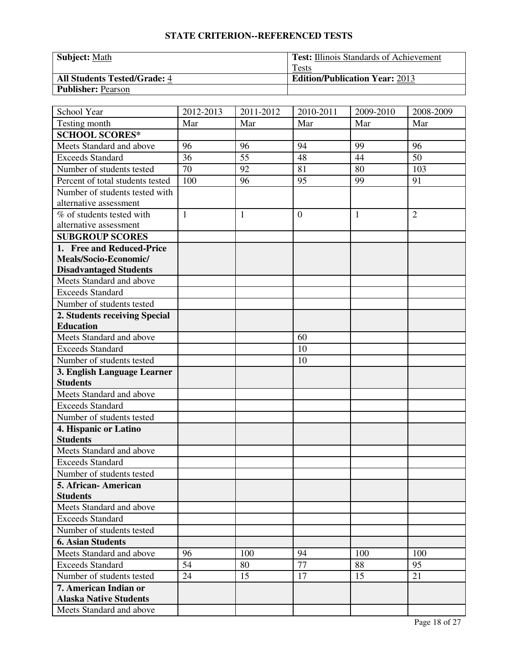| <b>Subject: Math</b>                | <b>Test:</b> Illinois Standards of Achievement |
|-------------------------------------|------------------------------------------------|
|                                     | <b>Tests</b>                                   |
| <b>All Students Tested/Grade: 4</b> | <b>Edition/Publication Year: 2013</b>          |
| <b>Publisher: Pearson</b>           |                                                |

| School Year                                       | 2012-2013    | 2011-2012    | 2010-2011      | 2009-2010 | 2008-2009      |
|---------------------------------------------------|--------------|--------------|----------------|-----------|----------------|
| Testing month                                     | Mar          | Mar          | Mar            | Mar       | Mar            |
| <b>SCHOOL SCORES*</b>                             |              |              |                |           |                |
| Meets Standard and above                          | 96           | 96           | 94             | 99        | 96             |
| <b>Exceeds Standard</b>                           | 36           | 55           | 48             | 44        | 50             |
| Number of students tested                         | 70           | 92           | 81             | 80        | 103            |
| Percent of total students tested                  | 100          | 96           | 95             | 99        | 91             |
| Number of students tested with                    |              |              |                |           |                |
| alternative assessment                            |              |              |                |           |                |
| % of students tested with                         | $\mathbf{1}$ | $\mathbf{1}$ | $\overline{0}$ | 1         | $\overline{2}$ |
| alternative assessment                            |              |              |                |           |                |
| <b>SUBGROUP SCORES</b>                            |              |              |                |           |                |
| 1. Free and Reduced-Price                         |              |              |                |           |                |
| Meals/Socio-Economic/                             |              |              |                |           |                |
| <b>Disadvantaged Students</b>                     |              |              |                |           |                |
| Meets Standard and above                          |              |              |                |           |                |
| <b>Exceeds Standard</b>                           |              |              |                |           |                |
| Number of students tested                         |              |              |                |           |                |
| 2. Students receiving Special                     |              |              |                |           |                |
| <b>Education</b>                                  |              |              |                |           |                |
| Meets Standard and above                          |              |              | 60             |           |                |
| <b>Exceeds Standard</b>                           |              |              | 10             |           |                |
| Number of students tested                         |              |              | 10             |           |                |
| 3. English Language Learner                       |              |              |                |           |                |
| <b>Students</b>                                   |              |              |                |           |                |
| Meets Standard and above                          |              |              |                |           |                |
| <b>Exceeds Standard</b>                           |              |              |                |           |                |
| Number of students tested                         |              |              |                |           |                |
| 4. Hispanic or Latino<br><b>Students</b>          |              |              |                |           |                |
| Meets Standard and above                          |              |              |                |           |                |
| <b>Exceeds Standard</b>                           |              |              |                |           |                |
|                                                   |              |              |                |           |                |
| Number of students tested<br>5. African- American |              |              |                |           |                |
| <b>Students</b>                                   |              |              |                |           |                |
| Meets Standard and above                          |              |              |                |           |                |
| <b>Exceeds Standard</b>                           |              |              |                |           |                |
| Number of students tested                         |              |              |                |           |                |
| <b>6. Asian Students</b>                          |              |              |                |           |                |
| Meets Standard and above                          | 96           | 100          | 94             | 100       | 100            |
| <b>Exceeds Standard</b>                           | 54           | 80           | 77             | 88        | 95             |
| Number of students tested                         | 24           | 15           | 17             | 15        | 21             |
| 7. American Indian or                             |              |              |                |           |                |
| <b>Alaska Native Students</b>                     |              |              |                |           |                |
| Meets Standard and above                          |              |              |                |           |                |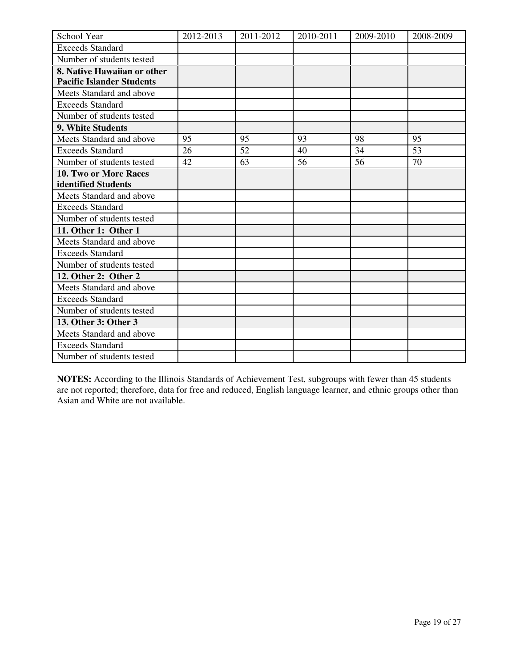| School Year                      | 2012-2013 | 2011-2012 | 2010-2011 | 2009-2010 | 2008-2009 |
|----------------------------------|-----------|-----------|-----------|-----------|-----------|
| <b>Exceeds Standard</b>          |           |           |           |           |           |
| Number of students tested        |           |           |           |           |           |
| 8. Native Hawaiian or other      |           |           |           |           |           |
| <b>Pacific Islander Students</b> |           |           |           |           |           |
| Meets Standard and above         |           |           |           |           |           |
| <b>Exceeds Standard</b>          |           |           |           |           |           |
| Number of students tested        |           |           |           |           |           |
| 9. White Students                |           |           |           |           |           |
| Meets Standard and above         | 95        | 95        | 93        | 98        | 95        |
| <b>Exceeds Standard</b>          | 26        | 52        | 40        | 34        | 53        |
| Number of students tested        | 42        | 63        | 56        | 56        | 70        |
| <b>10. Two or More Races</b>     |           |           |           |           |           |
| identified Students              |           |           |           |           |           |
| Meets Standard and above         |           |           |           |           |           |
| <b>Exceeds Standard</b>          |           |           |           |           |           |
| Number of students tested        |           |           |           |           |           |
| 11. Other 1: Other 1             |           |           |           |           |           |
| Meets Standard and above         |           |           |           |           |           |
| <b>Exceeds Standard</b>          |           |           |           |           |           |
| Number of students tested        |           |           |           |           |           |
| 12. Other 2: Other 2             |           |           |           |           |           |
| Meets Standard and above         |           |           |           |           |           |
| <b>Exceeds Standard</b>          |           |           |           |           |           |
| Number of students tested        |           |           |           |           |           |
| 13. Other 3: Other 3             |           |           |           |           |           |
| Meets Standard and above         |           |           |           |           |           |
| <b>Exceeds Standard</b>          |           |           |           |           |           |
| Number of students tested        |           |           |           |           |           |

**NOTES:** According to the Illinois Standards of Achievement Test, subgroups with fewer than 45 students are not reported; therefore, data for free and reduced, English language learner, and ethnic groups other than Asian and White are not available.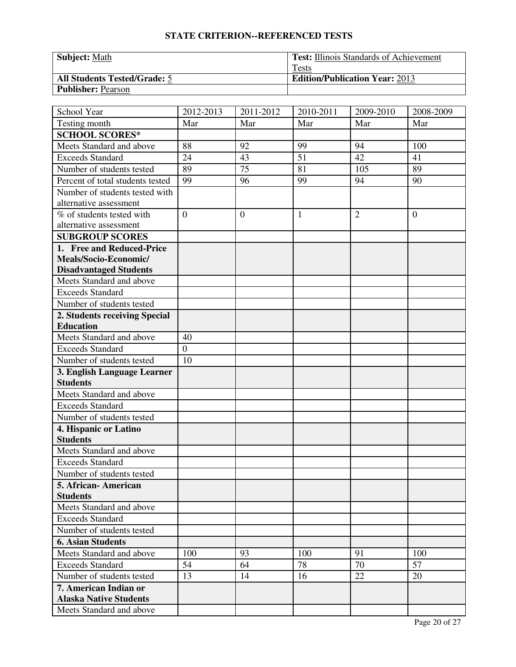| <b>Subject: Math</b>                | <b>Test:</b> Illinois Standards of Achievement |
|-------------------------------------|------------------------------------------------|
|                                     | <b>Tests</b>                                   |
| <b>All Students Tested/Grade: 5</b> | <b>Edition/Publication Year: 2013</b>          |
| <b>Publisher: Pearson</b>           |                                                |

| School Year                                         | 2012-2013      | 2011-2012      | 2010-2011    | 2009-2010      | 2008-2009      |
|-----------------------------------------------------|----------------|----------------|--------------|----------------|----------------|
| Testing month                                       | Mar            | Mar            | Mar          | Mar            | Mar            |
| <b>SCHOOL SCORES*</b>                               |                |                |              |                |                |
| Meets Standard and above                            | 88             | 92             | 99           | 94             | 100            |
| <b>Exceeds Standard</b>                             | 24             | 43             | 51           | 42             | 41             |
| Number of students tested                           | 89             | 75             | 81           | 105            | 89             |
| Percent of total students tested                    | 99             | 96             | 99           | 94             | 90             |
| Number of students tested with                      |                |                |              |                |                |
| alternative assessment                              |                |                |              |                |                |
| % of students tested with                           | $\overline{0}$ | $\overline{0}$ | $\mathbf{1}$ | $\overline{2}$ | $\overline{0}$ |
| alternative assessment                              |                |                |              |                |                |
| <b>SUBGROUP SCORES</b>                              |                |                |              |                |                |
| 1. Free and Reduced-Price                           |                |                |              |                |                |
| Meals/Socio-Economic/                               |                |                |              |                |                |
| <b>Disadvantaged Students</b>                       |                |                |              |                |                |
| Meets Standard and above                            |                |                |              |                |                |
| <b>Exceeds Standard</b>                             |                |                |              |                |                |
| Number of students tested                           |                |                |              |                |                |
| 2. Students receiving Special                       |                |                |              |                |                |
| <b>Education</b>                                    |                |                |              |                |                |
| Meets Standard and above                            | 40             |                |              |                |                |
| <b>Exceeds Standard</b>                             | $\overline{0}$ |                |              |                |                |
| Number of students tested                           | 10             |                |              |                |                |
| 3. English Language Learner                         |                |                |              |                |                |
| <b>Students</b>                                     |                |                |              |                |                |
| Meets Standard and above                            |                |                |              |                |                |
| <b>Exceeds Standard</b>                             |                |                |              |                |                |
| Number of students tested                           |                |                |              |                |                |
| 4. Hispanic or Latino<br><b>Students</b>            |                |                |              |                |                |
|                                                     |                |                |              |                |                |
| Meets Standard and above<br><b>Exceeds Standard</b> |                |                |              |                |                |
|                                                     |                |                |              |                |                |
| Number of students tested<br>5. African- American   |                |                |              |                |                |
| <b>Students</b>                                     |                |                |              |                |                |
| Meets Standard and above                            |                |                |              |                |                |
| <b>Exceeds Standard</b>                             |                |                |              |                |                |
| Number of students tested                           |                |                |              |                |                |
| <b>6. Asian Students</b>                            |                |                |              |                |                |
| Meets Standard and above                            | 100            | 93             | 100          | 91             | 100            |
| <b>Exceeds Standard</b>                             | 54             | 64             | 78           | 70             | 57             |
| Number of students tested                           | 13             | 14             | 16           | 22             | 20             |
| 7. American Indian or                               |                |                |              |                |                |
| <b>Alaska Native Students</b>                       |                |                |              |                |                |
|                                                     |                |                |              |                |                |
| Meets Standard and above                            |                |                |              |                |                |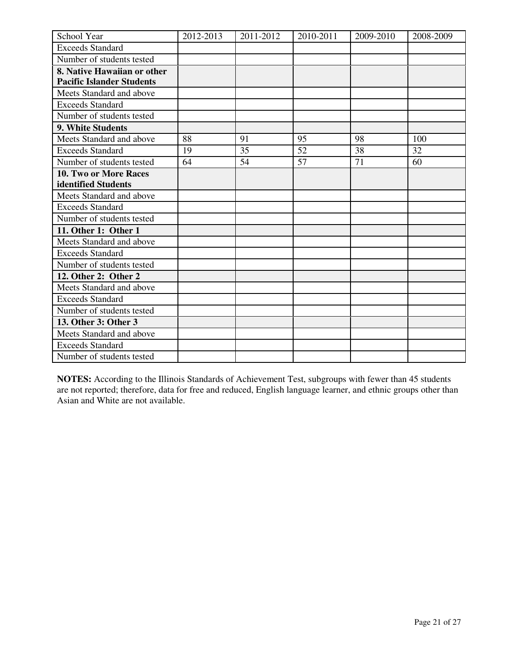| School Year                      | 2012-2013 | 2011-2012 | 2010-2011 | 2009-2010 | 2008-2009 |
|----------------------------------|-----------|-----------|-----------|-----------|-----------|
| <b>Exceeds Standard</b>          |           |           |           |           |           |
| Number of students tested        |           |           |           |           |           |
| 8. Native Hawaiian or other      |           |           |           |           |           |
| <b>Pacific Islander Students</b> |           |           |           |           |           |
| Meets Standard and above         |           |           |           |           |           |
| <b>Exceeds Standard</b>          |           |           |           |           |           |
| Number of students tested        |           |           |           |           |           |
| 9. White Students                |           |           |           |           |           |
| Meets Standard and above         | 88        | 91        | 95        | 98        | 100       |
| <b>Exceeds Standard</b>          | 19        | 35        | 52        | 38        | 32        |
| Number of students tested        | 64        | 54        | 57        | 71        | 60        |
| <b>10. Two or More Races</b>     |           |           |           |           |           |
| identified Students              |           |           |           |           |           |
| Meets Standard and above         |           |           |           |           |           |
| <b>Exceeds Standard</b>          |           |           |           |           |           |
| Number of students tested        |           |           |           |           |           |
| 11. Other 1: Other 1             |           |           |           |           |           |
| Meets Standard and above         |           |           |           |           |           |
| <b>Exceeds Standard</b>          |           |           |           |           |           |
| Number of students tested        |           |           |           |           |           |
| 12. Other 2: Other 2             |           |           |           |           |           |
| Meets Standard and above         |           |           |           |           |           |
| <b>Exceeds Standard</b>          |           |           |           |           |           |
| Number of students tested        |           |           |           |           |           |
| 13. Other 3: Other 3             |           |           |           |           |           |
| Meets Standard and above         |           |           |           |           |           |
| <b>Exceeds Standard</b>          |           |           |           |           |           |
| Number of students tested        |           |           |           |           |           |

**NOTES:** According to the Illinois Standards of Achievement Test, subgroups with fewer than 45 students are not reported; therefore, data for free and reduced, English language learner, and ethnic groups other than Asian and White are not available.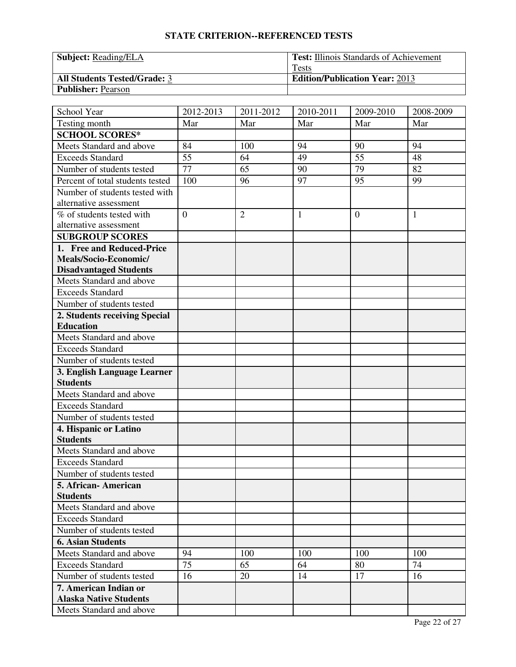| <b>Subject:</b> Reading/ELA         | <b>Test:</b> Illinois Standards of Achievement |
|-------------------------------------|------------------------------------------------|
|                                     | <b>Tests</b>                                   |
| <b>All Students Tested/Grade: 3</b> | <b>Edition/Publication Year: 2013</b>          |
| <b>Publisher: Pearson</b>           |                                                |

| School Year                      | 2012-2013      | 2011-2012      | 2010-2011    | 2009-2010      | 2008-2009    |
|----------------------------------|----------------|----------------|--------------|----------------|--------------|
| Testing month                    | Mar            | Mar            | Mar          | Mar            | Mar          |
| <b>SCHOOL SCORES*</b>            |                |                |              |                |              |
| Meets Standard and above         | 84             | 100            | 94           | 90             | 94           |
| <b>Exceeds Standard</b>          | 55             | 64             | 49           | 55             | 48           |
| Number of students tested        | 77             | 65             | 90           | 79             | 82           |
| Percent of total students tested | 100            | 96             | 97           | 95             | 99           |
| Number of students tested with   |                |                |              |                |              |
| alternative assessment           |                |                |              |                |              |
| % of students tested with        | $\overline{0}$ | $\overline{2}$ | $\mathbf{1}$ | $\overline{0}$ | $\mathbf{1}$ |
| alternative assessment           |                |                |              |                |              |
| <b>SUBGROUP SCORES</b>           |                |                |              |                |              |
| 1. Free and Reduced-Price        |                |                |              |                |              |
| Meals/Socio-Economic/            |                |                |              |                |              |
| <b>Disadvantaged Students</b>    |                |                |              |                |              |
| Meets Standard and above         |                |                |              |                |              |
| <b>Exceeds Standard</b>          |                |                |              |                |              |
| Number of students tested        |                |                |              |                |              |
| 2. Students receiving Special    |                |                |              |                |              |
| <b>Education</b>                 |                |                |              |                |              |
| Meets Standard and above         |                |                |              |                |              |
| <b>Exceeds Standard</b>          |                |                |              |                |              |
| Number of students tested        |                |                |              |                |              |
| 3. English Language Learner      |                |                |              |                |              |
| <b>Students</b>                  |                |                |              |                |              |
| Meets Standard and above         |                |                |              |                |              |
| <b>Exceeds Standard</b>          |                |                |              |                |              |
| Number of students tested        |                |                |              |                |              |
| 4. Hispanic or Latino            |                |                |              |                |              |
| <b>Students</b>                  |                |                |              |                |              |
| Meets Standard and above         |                |                |              |                |              |
| <b>Exceeds Standard</b>          |                |                |              |                |              |
| Number of students tested        |                |                |              |                |              |
| 5. African-American              |                |                |              |                |              |
| <b>Students</b>                  |                |                |              |                |              |
| Meets Standard and above         |                |                |              |                |              |
| <b>Exceeds Standard</b>          |                |                |              |                |              |
| Number of students tested        |                |                |              |                |              |
| <b>6. Asian Students</b>         |                |                |              |                |              |
| Meets Standard and above         | 94             | 100            | 100          | 100            | 100          |
| <b>Exceeds Standard</b>          | 75             | 65             | 64           | 80             | 74           |
| Number of students tested        | 16             | 20             | 14           | 17             | 16           |
| 7. American Indian or            |                |                |              |                |              |
| <b>Alaska Native Students</b>    |                |                |              |                |              |
| Meets Standard and above         |                |                |              |                |              |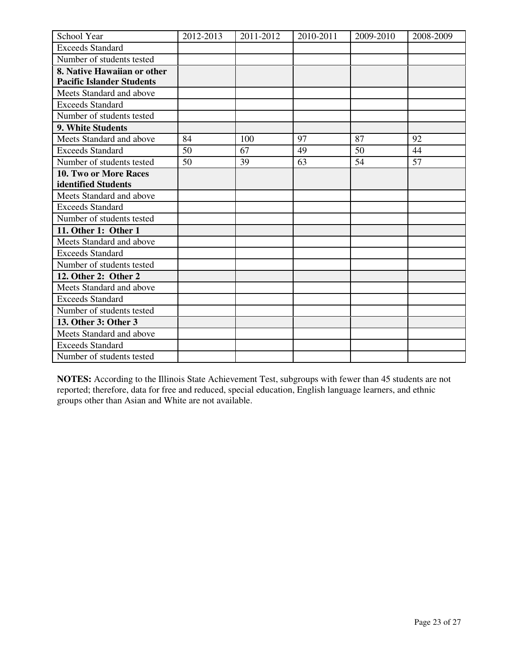| School Year                      | 2012-2013 | 2011-2012 | 2010-2011 | 2009-2010 | 2008-2009 |
|----------------------------------|-----------|-----------|-----------|-----------|-----------|
| <b>Exceeds Standard</b>          |           |           |           |           |           |
| Number of students tested        |           |           |           |           |           |
| 8. Native Hawaiian or other      |           |           |           |           |           |
| <b>Pacific Islander Students</b> |           |           |           |           |           |
| Meets Standard and above         |           |           |           |           |           |
| <b>Exceeds Standard</b>          |           |           |           |           |           |
| Number of students tested        |           |           |           |           |           |
| 9. White Students                |           |           |           |           |           |
| Meets Standard and above         | 84        | 100       | 97        | 87        | 92        |
| <b>Exceeds Standard</b>          | 50        | 67        | 49        | 50        | 44        |
| Number of students tested        | 50        | 39        | 63        | 54        | 57        |
| 10. Two or More Races            |           |           |           |           |           |
| identified Students              |           |           |           |           |           |
| Meets Standard and above         |           |           |           |           |           |
| <b>Exceeds Standard</b>          |           |           |           |           |           |
| Number of students tested        |           |           |           |           |           |
| 11. Other 1: Other 1             |           |           |           |           |           |
| Meets Standard and above         |           |           |           |           |           |
| <b>Exceeds Standard</b>          |           |           |           |           |           |
| Number of students tested        |           |           |           |           |           |
| 12. Other 2: Other 2             |           |           |           |           |           |
| Meets Standard and above         |           |           |           |           |           |
| <b>Exceeds Standard</b>          |           |           |           |           |           |
| Number of students tested        |           |           |           |           |           |
| 13. Other 3: Other 3             |           |           |           |           |           |
| Meets Standard and above         |           |           |           |           |           |
| <b>Exceeds Standard</b>          |           |           |           |           |           |
| Number of students tested        |           |           |           |           |           |

**NOTES:** According to the Illinois State Achievement Test, subgroups with fewer than 45 students are not reported; therefore, data for free and reduced, special education, English language learners, and ethnic groups other than Asian and White are not available.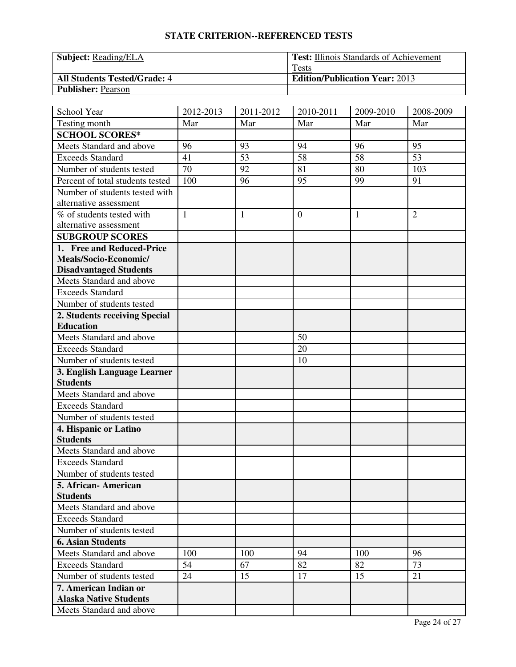| <b>Subject:</b> Reading/ELA         | <b>Test:</b> Illinois Standards of Achievement |
|-------------------------------------|------------------------------------------------|
|                                     | Tests                                          |
| <b>All Students Tested/Grade: 4</b> | <b>Edition/Publication Year: 2013</b>          |
| <b>Publisher: Pearson</b>           |                                                |

| School Year                                            | 2012-2013    | 2011-2012    | 2010-2011      | 2009-2010 | 2008-2009      |
|--------------------------------------------------------|--------------|--------------|----------------|-----------|----------------|
| Testing month                                          | Mar          | Mar          | Mar            | Mar       | Mar            |
| <b>SCHOOL SCORES*</b>                                  |              |              |                |           |                |
| Meets Standard and above                               | 96           | 93           | 94             | 96        | 95             |
| Exceeds Standard                                       | 41           | 53           | 58             | 58        | 53             |
| Number of students tested                              | 70           | 92           | 81             | 80        | 103            |
| Percent of total students tested                       | 100          | 96           | 95             | 99        | 91             |
| Number of students tested with                         |              |              |                |           |                |
| alternative assessment                                 |              |              |                |           |                |
| % of students tested with                              | $\mathbf{1}$ | $\mathbf{1}$ | $\overline{0}$ | 1         | $\overline{2}$ |
| alternative assessment                                 |              |              |                |           |                |
| <b>SUBGROUP SCORES</b>                                 |              |              |                |           |                |
| 1. Free and Reduced-Price                              |              |              |                |           |                |
| Meals/Socio-Economic/                                  |              |              |                |           |                |
| <b>Disadvantaged Students</b>                          |              |              |                |           |                |
| Meets Standard and above                               |              |              |                |           |                |
| <b>Exceeds Standard</b>                                |              |              |                |           |                |
| Number of students tested                              |              |              |                |           |                |
| 2. Students receiving Special                          |              |              |                |           |                |
| <b>Education</b>                                       |              |              |                |           |                |
| Meets Standard and above                               |              |              | 50             |           |                |
| <b>Exceeds Standard</b>                                |              |              | 20             |           |                |
| Number of students tested                              |              |              | 10             |           |                |
| 3. English Language Learner                            |              |              |                |           |                |
| <b>Students</b>                                        |              |              |                |           |                |
| Meets Standard and above                               |              |              |                |           |                |
| <b>Exceeds Standard</b>                                |              |              |                |           |                |
| Number of students tested                              |              |              |                |           |                |
| 4. Hispanic or Latino                                  |              |              |                |           |                |
| <b>Students</b>                                        |              |              |                |           |                |
| Meets Standard and above                               |              |              |                |           |                |
| <b>Exceeds Standard</b>                                |              |              |                |           |                |
| Number of students tested                              |              |              |                |           |                |
| 5. African-American                                    |              |              |                |           |                |
| <b>Students</b><br>Meets Standard and above            |              |              |                |           |                |
| <b>Exceeds Standard</b>                                |              |              |                |           |                |
| Number of students tested                              |              |              |                |           |                |
|                                                        |              |              |                |           |                |
| <b>6. Asian Students</b><br>Meets Standard and above   |              |              |                |           | 96             |
| <b>Exceeds Standard</b>                                | 100<br>54    | 100<br>67    | 94<br>82       | 100<br>82 | 73             |
| Number of students tested                              |              |              |                |           |                |
|                                                        | 24           | 15           | 17             | 15        | 21             |
| 7. American Indian or<br><b>Alaska Native Students</b> |              |              |                |           |                |
|                                                        |              |              |                |           |                |
| Meets Standard and above                               |              |              |                |           |                |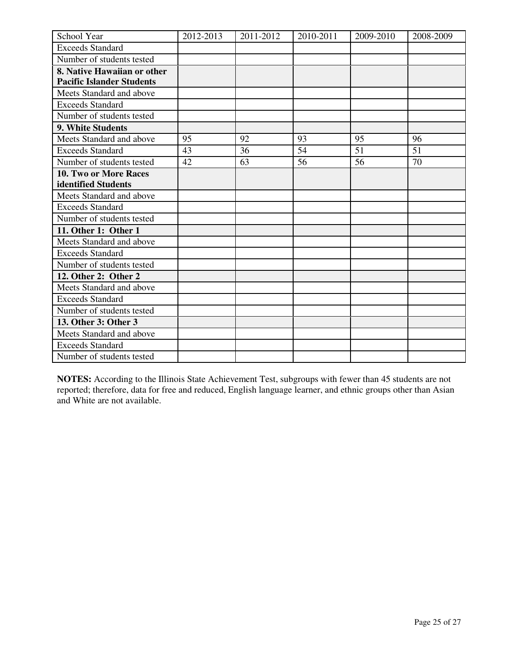| School Year                      | 2012-2013 | 2011-2012 | 2010-2011 | 2009-2010 | 2008-2009 |
|----------------------------------|-----------|-----------|-----------|-----------|-----------|
| <b>Exceeds Standard</b>          |           |           |           |           |           |
| Number of students tested        |           |           |           |           |           |
| 8. Native Hawaiian or other      |           |           |           |           |           |
| <b>Pacific Islander Students</b> |           |           |           |           |           |
| Meets Standard and above         |           |           |           |           |           |
| <b>Exceeds Standard</b>          |           |           |           |           |           |
| Number of students tested        |           |           |           |           |           |
| 9. White Students                |           |           |           |           |           |
| Meets Standard and above         | 95        | 92        | 93        | 95        | 96        |
| <b>Exceeds Standard</b>          | 43        | 36        | 54        | 51        | 51        |
| Number of students tested        | 42        | 63        | 56        | 56        | 70        |
| <b>10. Two or More Races</b>     |           |           |           |           |           |
| identified Students              |           |           |           |           |           |
| Meets Standard and above         |           |           |           |           |           |
| <b>Exceeds Standard</b>          |           |           |           |           |           |
| Number of students tested        |           |           |           |           |           |
| 11. Other 1: Other 1             |           |           |           |           |           |
| Meets Standard and above         |           |           |           |           |           |
| <b>Exceeds Standard</b>          |           |           |           |           |           |
| Number of students tested        |           |           |           |           |           |
| 12. Other 2: Other 2             |           |           |           |           |           |
| Meets Standard and above         |           |           |           |           |           |
| <b>Exceeds Standard</b>          |           |           |           |           |           |
| Number of students tested        |           |           |           |           |           |
| 13. Other 3: Other 3             |           |           |           |           |           |
| Meets Standard and above         |           |           |           |           |           |
| <b>Exceeds Standard</b>          |           |           |           |           |           |
| Number of students tested        |           |           |           |           |           |

**NOTES:** According to the Illinois State Achievement Test, subgroups with fewer than 45 students are not reported; therefore, data for free and reduced, English language learner, and ethnic groups other than Asian and White are not available.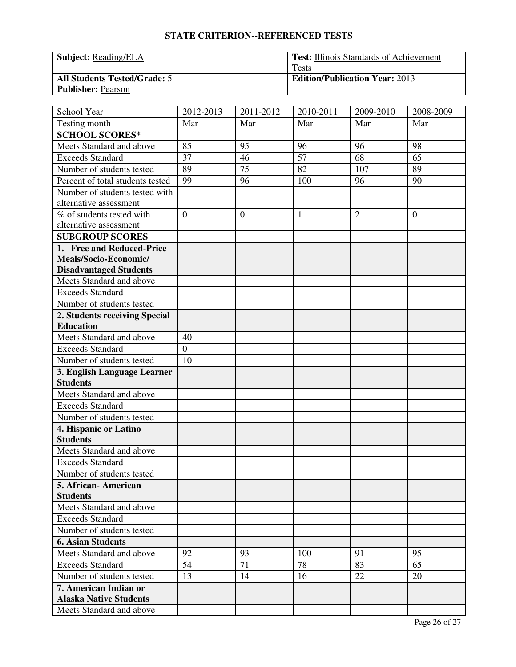| <b>Subject:</b> Reading/ELA         | <b>Test:</b> Illinois Standards of Achievement |
|-------------------------------------|------------------------------------------------|
|                                     | <b>Tests</b>                                   |
| <b>All Students Tested/Grade: 5</b> | <b>Edition/Publication Year: 2013</b>          |
| <b>Publisher: Pearson</b>           |                                                |

| School Year                                         | 2012-2013      | 2011-2012        | 2010-2011       | 2009-2010      | 2008-2009      |
|-----------------------------------------------------|----------------|------------------|-----------------|----------------|----------------|
| Testing month                                       | Mar            | Mar              | Mar             | Mar            | Mar            |
| <b>SCHOOL SCORES*</b>                               |                |                  |                 |                |                |
| Meets Standard and above                            | 85             | 95               | 96              | 96             | 98             |
| Exceeds Standard                                    | 37             | 46               | $\overline{57}$ | 68             | 65             |
| Number of students tested                           | 89             | 75               | 82              | 107            | 89             |
| Percent of total students tested                    | 99             | 96               | 100             | 96             | 90             |
| Number of students tested with                      |                |                  |                 |                |                |
| alternative assessment                              |                |                  |                 |                |                |
| % of students tested with                           | $\overline{0}$ | $\boldsymbol{0}$ | $\mathbf{1}$    | $\overline{2}$ | $\overline{0}$ |
| alternative assessment                              |                |                  |                 |                |                |
| <b>SUBGROUP SCORES</b>                              |                |                  |                 |                |                |
| 1. Free and Reduced-Price                           |                |                  |                 |                |                |
| Meals/Socio-Economic/                               |                |                  |                 |                |                |
| <b>Disadvantaged Students</b>                       |                |                  |                 |                |                |
| Meets Standard and above                            |                |                  |                 |                |                |
| <b>Exceeds Standard</b>                             |                |                  |                 |                |                |
| Number of students tested                           |                |                  |                 |                |                |
| 2. Students receiving Special                       |                |                  |                 |                |                |
| <b>Education</b>                                    |                |                  |                 |                |                |
| Meets Standard and above                            | 40             |                  |                 |                |                |
| <b>Exceeds Standard</b>                             | $\overline{0}$ |                  |                 |                |                |
| Number of students tested                           | 10             |                  |                 |                |                |
| 3. English Language Learner                         |                |                  |                 |                |                |
| <b>Students</b>                                     |                |                  |                 |                |                |
| Meets Standard and above                            |                |                  |                 |                |                |
| <b>Exceeds Standard</b>                             |                |                  |                 |                |                |
| Number of students tested                           |                |                  |                 |                |                |
| 4. Hispanic or Latino<br><b>Students</b>            |                |                  |                 |                |                |
|                                                     |                |                  |                 |                |                |
| Meets Standard and above<br><b>Exceeds Standard</b> |                |                  |                 |                |                |
|                                                     |                |                  |                 |                |                |
| Number of students tested                           |                |                  |                 |                |                |
| 5. African-American<br><b>Students</b>              |                |                  |                 |                |                |
| Meets Standard and above                            |                |                  |                 |                |                |
| <b>Exceeds Standard</b>                             |                |                  |                 |                |                |
| Number of students tested                           |                |                  |                 |                |                |
| <b>6. Asian Students</b>                            |                |                  |                 |                |                |
| Meets Standard and above                            | 92             | 93               | 100             | 91             | 95             |
| <b>Exceeds Standard</b>                             | 54             | 71               | 78              | 83             | 65             |
| Number of students tested                           | 13             | 14               | 16              | 22             | 20             |
| 7. American Indian or                               |                |                  |                 |                |                |
| <b>Alaska Native Students</b>                       |                |                  |                 |                |                |
| Meets Standard and above                            |                |                  |                 |                |                |